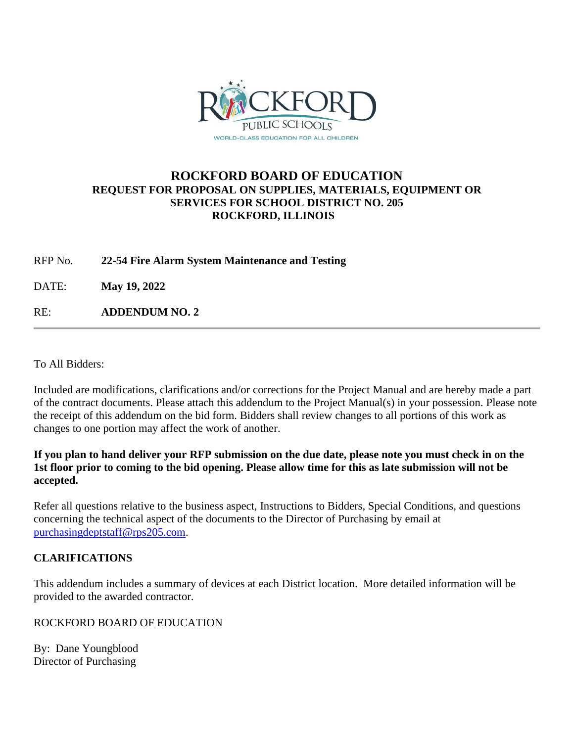

## **ROCKFORD BOARD OF EDUCATION REQUEST FOR PROPOSAL ON SUPPLIES, MATERIALS, EQUIPMENT OR SERVICES FOR SCHOOL DISTRICT NO. 205 ROCKFORD, ILLINOIS**

RFP No. **22-54 Fire Alarm System Maintenance and Testing**

DATE: **May 19, 2022**

RE: **ADDENDUM NO. 2**

To All Bidders:

Included are modifications, clarifications and/or corrections for the Project Manual and are hereby made a part of the contract documents. Please attach this addendum to the Project Manual(s) in your possession. Please note the receipt of this addendum on the bid form. Bidders shall review changes to all portions of this work as changes to one portion may affect the work of another.

**If you plan to hand deliver your RFP submission on the due date, please note you must check in on the 1st floor prior to coming to the bid opening. Please allow time for this as late submission will not be accepted.**

Refer all questions relative to the business aspect, Instructions to Bidders, Special Conditions, and questions concerning the technical aspect of the documents to the Director of Purchasing by email at [purchasingdeptstaff@rps205.com.](mailto:purchasingdeptstaff@rps205.com)

## **CLARIFICATIONS**

This addendum includes a summary of devices at each District location. More detailed information will be provided to the awarded contractor.

ROCKFORD BOARD OF EDUCATION

By: Dane Youngblood Director of Purchasing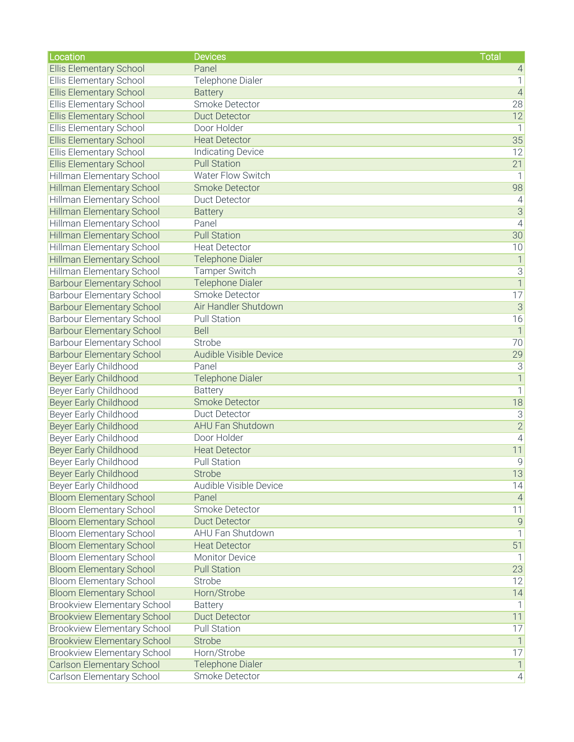| Location                           | <b>Devices</b>           | <b>Total</b>              |
|------------------------------------|--------------------------|---------------------------|
| <b>Ellis Elementary School</b>     | Panel                    | $\overline{4}$            |
| Ellis Elementary School            | Telephone Dialer         | $\mathbf{1}$              |
| <b>Ellis Elementary School</b>     | <b>Battery</b>           | $\sqrt{4}$                |
| <b>Ellis Elementary School</b>     | Smoke Detector           | 28                        |
| <b>Ellis Elementary School</b>     | <b>Duct Detector</b>     | 12                        |
| Ellis Elementary School            | Door Holder              | $\mathbb{1}$              |
| <b>Ellis Elementary School</b>     | <b>Heat Detector</b>     | 35                        |
| Ellis Elementary School            | <b>Indicating Device</b> | 12                        |
| <b>Ellis Elementary School</b>     | <b>Pull Station</b>      | 21                        |
| Hillman Elementary School          | Water Flow Switch        | $\vert$                   |
| <b>Hillman Elementary School</b>   | <b>Smoke Detector</b>    | 98                        |
| Hillman Elementary School          | Duct Detector            | $\vert 4 \vert$           |
| <b>Hillman Elementary School</b>   | <b>Battery</b>           | $\overline{3}$            |
| Hillman Elementary School          | Panel                    | $\vert 4 \vert$           |
| Hillman Elementary School          | <b>Pull Station</b>      | 30                        |
| Hillman Elementary School          | <b>Heat Detector</b>     | 10                        |
| <b>Hillman Elementary School</b>   | <b>Telephone Dialer</b>  | $\overline{1}$            |
| Hillman Elementary School          | <b>Tamper Switch</b>     | $\overline{3}$            |
| <b>Barbour Elementary School</b>   | <b>Telephone Dialer</b>  | $\overline{1}$            |
| <b>Barbour Elementary School</b>   | Smoke Detector           | 17                        |
| <b>Barbour Elementary School</b>   | Air Handler Shutdown     | $\overline{3}$            |
| <b>Barbour Elementary School</b>   | <b>Pull Station</b>      | 16                        |
| <b>Barbour Elementary School</b>   | <b>Bell</b>              | $\overline{1}$            |
| <b>Barbour Elementary School</b>   | Strobe                   | 70                        |
| <b>Barbour Elementary School</b>   | Audible Visible Device   | 29                        |
| Beyer Early Childhood              | Panel                    | $\overline{3}$            |
| <b>Beyer Early Childhood</b>       | <b>Telephone Dialer</b>  | $\overline{1}$            |
| Beyer Early Childhood              | <b>Battery</b>           | $\overline{1}$            |
| <b>Beyer Early Childhood</b>       | <b>Smoke Detector</b>    | 18                        |
| Beyer Early Childhood              | Duct Detector            | $\ensuremath{\mathsf{3}}$ |
| <b>Beyer Early Childhood</b>       | <b>AHU Fan Shutdown</b>  | $\overline{2}$            |
| Beyer Early Childhood              | Door Holder              | $\left 4\right $          |
| <b>Beyer Early Childhood</b>       | <b>Heat Detector</b>     | 11                        |
| Beyer Early Childhood              | <b>Pull Station</b>      | 9                         |
| Beyer Early Childhood              | <b>Strobe</b>            | 13                        |
| Beyer Early Childhood              | Audible Visible Device   | 14                        |
| <b>Bloom Elementary School</b>     | Panel                    | $\vert 4 \vert$           |
| <b>Bloom Elementary School</b>     | Smoke Detector           | 11                        |
| <b>Bloom Elementary School</b>     | <b>Duct Detector</b>     | $\overline{9}$            |
| <b>Bloom Elementary School</b>     | AHU Fan Shutdown         | 1                         |
| <b>Bloom Elementary School</b>     | <b>Heat Detector</b>     | 51                        |
| <b>Bloom Elementary School</b>     | <b>Monitor Device</b>    | 1                         |
|                                    | <b>Pull Station</b>      | 23                        |
| <b>Bloom Elementary School</b>     |                          |                           |
| <b>Bloom Elementary School</b>     | Strobe                   | 12                        |
| <b>Bloom Elementary School</b>     | Horn/Strobe              | 14                        |
| <b>Brookview Elementary School</b> | <b>Battery</b>           | $\vert$                   |
| <b>Brookview Elementary School</b> | <b>Duct Detector</b>     | 11                        |
| <b>Brookview Elementary School</b> | <b>Pull Station</b>      | 17                        |
| <b>Brookview Elementary School</b> | Strobe                   | $\overline{\phantom{a}}$  |
| <b>Brookview Elementary School</b> | Horn/Strobe              | 17                        |
| <b>Carlson Elementary School</b>   | <b>Telephone Dialer</b>  | 1                         |
| Carlson Elementary School          | <b>Smoke Detector</b>    | 4                         |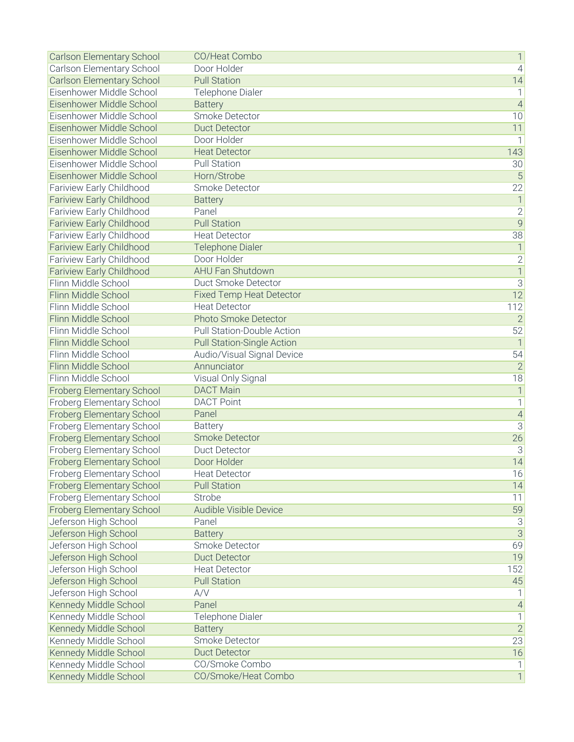| <b>Carlson Elementary School</b> | CO/Heat Combo                     | 1                         |
|----------------------------------|-----------------------------------|---------------------------|
| Carlson Elementary School        | Door Holder                       | $\overline{4}$            |
| <b>Carlson Elementary School</b> | <b>Pull Station</b>               | 14                        |
| Eisenhower Middle School         | Telephone Dialer                  | $\mathbf{1}$              |
| Eisenhower Middle School         | <b>Battery</b>                    | $\overline{4}$            |
| Eisenhower Middle School         | Smoke Detector                    | 10                        |
| Eisenhower Middle School         | <b>Duct Detector</b>              | 11                        |
| Eisenhower Middle School         | Door Holder                       | 1                         |
| Eisenhower Middle School         | <b>Heat Detector</b>              | 143                       |
| Eisenhower Middle School         | <b>Pull Station</b>               | 30                        |
| Eisenhower Middle School         | Horn/Strobe                       | $\overline{5}$            |
| Fariview Early Childhood         | Smoke Detector                    | $\overline{22}$           |
| <b>Fariview Early Childhood</b>  | <b>Battery</b>                    | $\overline{\phantom{a}}$  |
| Fariview Early Childhood         | Panel                             | $\mathbf{2}$              |
| <b>Fariview Early Childhood</b>  | <b>Pull Station</b>               | $\overline{9}$            |
| Fariview Early Childhood         | <b>Heat Detector</b>              | 38                        |
| <b>Fariview Early Childhood</b>  | <b>Telephone Dialer</b>           | $\mathbf 1$               |
| Fariview Early Childhood         | Door Holder                       | $\mathbf{2}$              |
| <b>Fariview Early Childhood</b>  | <b>AHU Fan Shutdown</b>           | $\overline{1}$            |
| Flinn Middle School              | Duct Smoke Detector               | $\overline{3}$            |
| Flinn Middle School              | <b>Fixed Temp Heat Detector</b>   | 12                        |
| Flinn Middle School              | <b>Heat Detector</b>              | 112                       |
| Flinn Middle School              | Photo Smoke Detector              | $\overline{2}$            |
| Flinn Middle School              | Pull Station-Double Action        | 52                        |
| Flinn Middle School              | <b>Pull Station-Single Action</b> | $\mathbf 1$               |
| Flinn Middle School              | Audio/Visual Signal Device        | 54                        |
| Flinn Middle School              | Annunciator                       | $\overline{2}$            |
| Flinn Middle School              | Visual Only Signal                | 18                        |
| <b>Froberg Elementary School</b> | <b>DACT Main</b>                  | $\overline{\phantom{a}}$  |
| Froberg Elementary School        | <b>DACT Point</b>                 | 1                         |
| <b>Froberg Elementary School</b> | Panel                             | $\overline{4}$            |
| Froberg Elementary School        | <b>Battery</b>                    | $\overline{3}$            |
| Froberg Elementary School        | Smoke Detector                    | 26                        |
| Froberg Elementary School        | <b>Duct Detector</b>              | 3                         |
| <b>Froberg Elementary School</b> | Door Holder                       | 14                        |
| <b>Froberg Elementary School</b> | <b>Heat Detector</b>              | 16                        |
| <b>Froberg Elementary School</b> | <b>Pull Station</b>               | 14                        |
| Froberg Elementary School        | Strobe                            | 11                        |
| Froberg Elementary School        | Audible Visible Device            | 59                        |
| Jeferson High School             | Panel                             | $\ensuremath{\mathsf{3}}$ |
| Jeferson High School             | <b>Battery</b>                    | $\overline{3}$            |
| Jeferson High School             | Smoke Detector                    | 69                        |
| Jeferson High School             | <b>Duct Detector</b>              | 19                        |
| Jeferson High School             | <b>Heat Detector</b>              | 152                       |
| Jeferson High School             | <b>Pull Station</b>               | 45                        |
| Jeferson High School             | A/V                               |                           |
| Kennedy Middle School            | Panel                             | $\overline{4}$            |
| Kennedy Middle School            | Telephone Dialer                  | $\mathbf{1}$              |
| Kennedy Middle School            | <b>Battery</b>                    | $\overline{2}$            |
| Kennedy Middle School            | Smoke Detector                    | 23                        |
| Kennedy Middle School            | <b>Duct Detector</b>              | 16                        |
| Kennedy Middle School            | CO/Smoke Combo                    | 1                         |
| Kennedy Middle School            | CO/Smoke/Heat Combo               | $\overline{1}$            |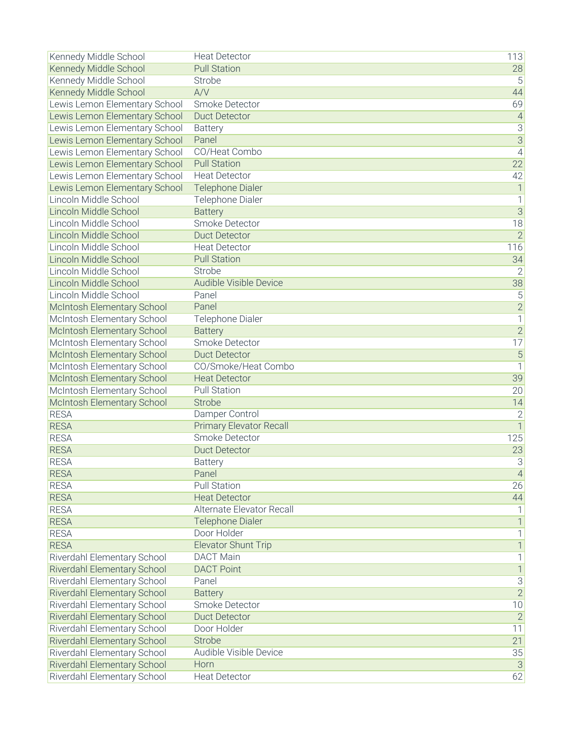| Kennedy Middle School         | <b>Heat Detector</b>           | 113                  |
|-------------------------------|--------------------------------|----------------------|
| Kennedy Middle School         | <b>Pull Station</b>            | 28                   |
| Kennedy Middle School         | Strobe                         | 5                    |
| Kennedy Middle School         | A/V                            | 44                   |
| Lewis Lemon Elementary School | <b>Smoke Detector</b>          | 69                   |
| Lewis Lemon Elementary School | <b>Duct Detector</b>           | $\overline{4}$       |
| Lewis Lemon Elementary School | <b>Battery</b>                 | $\overline{3}$       |
| Lewis Lemon Elementary School | Panel                          | $\overline{3}$       |
| Lewis Lemon Elementary School | CO/Heat Combo                  | $\overline{4}$       |
| Lewis Lemon Elementary School | <b>Pull Station</b>            | $\overline{22}$      |
| Lewis Lemon Elementary School | <b>Heat Detector</b>           | 42                   |
| Lewis Lemon Elementary School | <b>Telephone Dialer</b>        | $\overline{1}$       |
| Lincoln Middle School         | Telephone Dialer               | $\mathbf 1$          |
| Lincoln Middle School         | <b>Battery</b>                 | $\overline{3}$       |
| Lincoln Middle School         | <b>Smoke Detector</b>          | 18                   |
| Lincoln Middle School         | <b>Duct Detector</b>           | $\overline{2}$       |
| Lincoln Middle School         | <b>Heat Detector</b>           | 116                  |
| Lincoln Middle School         | <b>Pull Station</b>            | 34                   |
| Lincoln Middle School         | Strobe                         | $\overline{2}$       |
| Lincoln Middle School         | <b>Audible Visible Device</b>  | 38                   |
| Lincoln Middle School         | Panel                          | 5                    |
| McIntosh Elementary School    | Panel                          | $\overline{2}$       |
| McIntosh Elementary School    | Telephone Dialer               | $\overline{1}$       |
| McIntosh Elementary School    | <b>Battery</b>                 | $\overline{2}$       |
| McIntosh Elementary School    | Smoke Detector                 | 17                   |
| McIntosh Elementary School    | <b>Duct Detector</b>           | $\overline{5}$       |
| McIntosh Elementary School    | CO/Smoke/Heat Combo            | $\overline{1}$       |
| McIntosh Elementary School    | <b>Heat Detector</b>           | 39                   |
| McIntosh Elementary School    | <b>Pull Station</b>            | 20                   |
| McIntosh Elementary School    | <b>Strobe</b>                  | 14                   |
| <b>RESA</b>                   | Damper Control                 | $\overline{2}$       |
| <b>RESA</b>                   | <b>Primary Elevator Recall</b> | $\overline{1}$       |
| <b>RESA</b>                   | Smoke Detector                 | 125                  |
| <b>RESA</b>                   | <b>Duct Detector</b>           | 23                   |
| <b>RESA</b>                   | <b>Battery</b>                 | 3                    |
| <b>RESA</b>                   | Panel                          |                      |
| <b>RESA</b>                   | <b>Pull Station</b>            | $\overline{4}$<br>26 |
| <b>RESA</b>                   | <b>Heat Detector</b>           | 44                   |
| <b>RESA</b>                   | Alternate Elevator Recall      |                      |
| <b>RESA</b>                   | <b>Telephone Dialer</b>        | $\mathbf 1$          |
| <b>RESA</b>                   | Door Holder                    |                      |
| <b>RESA</b>                   | <b>Elevator Shunt Trip</b>     | 1<br>$\mathbf{1}$    |
|                               |                                |                      |
| Riverdahl Elementary School   | <b>DACT Main</b>               | $\mathbf 1$          |
| Riverdahl Elementary School   | <b>DACT Point</b>              | $\mathbf 1$          |
| Riverdahl Elementary School   | Panel                          | $\overline{3}$       |
| Riverdahl Elementary School   | <b>Battery</b>                 | $\overline{2}$       |
| Riverdahl Elementary School   | Smoke Detector                 | 10                   |
| Riverdahl Elementary School   | <b>Duct Detector</b>           | $\overline{2}$       |
| Riverdahl Elementary School   | Door Holder                    | 11                   |
| Riverdahl Elementary School   | Strobe                         | 21                   |
| Riverdahl Elementary School   | Audible Visible Device         | 35                   |
| Riverdahl Elementary School   | Horn                           | $\overline{3}$       |
| Riverdahl Elementary School   | <b>Heat Detector</b>           | 62                   |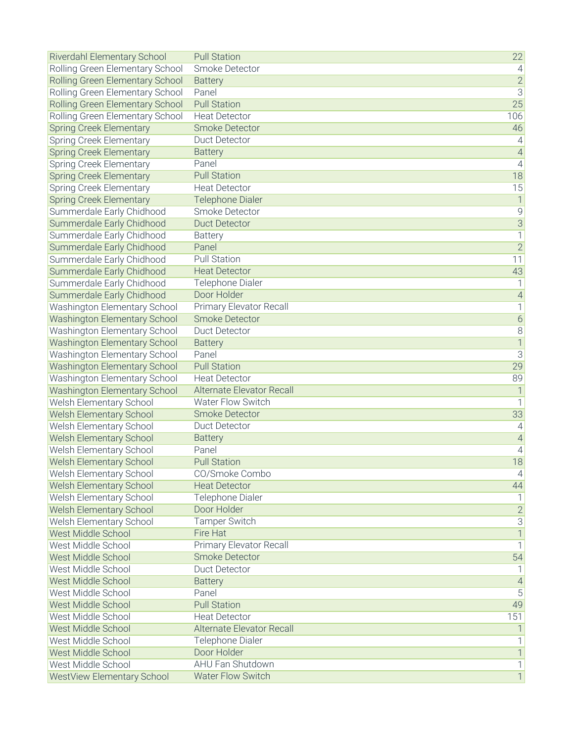| Riverdahl Elementary School         | <b>Pull Station</b>          | 22                   |
|-------------------------------------|------------------------------|----------------------|
| Rolling Green Elementary School     | Smoke Detector               | $\overline{4}$       |
| Rolling Green Elementary School     | <b>Battery</b>               | $\overline{2}$       |
| Rolling Green Elementary School     | Panel                        | $\overline{3}$       |
| Rolling Green Elementary School     | <b>Pull Station</b>          | 25                   |
| Rolling Green Elementary School     | <b>Heat Detector</b>         | 106                  |
| <b>Spring Creek Elementary</b>      | <b>Smoke Detector</b>        | 46                   |
| Spring Creek Elementary             | <b>Duct Detector</b>         | $\overline{4}$       |
| <b>Spring Creek Elementary</b>      | <b>Battery</b>               | $\overline{4}$       |
| Spring Creek Elementary             | Panel                        | $\overline{4}$       |
| <b>Spring Creek Elementary</b>      | <b>Pull Station</b>          | 18                   |
| Spring Creek Elementary             | <b>Heat Detector</b>         | 15                   |
| <b>Spring Creek Elementary</b>      | <b>Telephone Dialer</b>      | $\mathbf{1}$         |
| Summerdale Early Chidhood           | Smoke Detector               | $\overline{9}$       |
| Summerdale Early Chidhood           | <b>Duct Detector</b>         | $\overline{3}$       |
| Summerdale Early Chidhood           | <b>Battery</b>               | 1                    |
| Summerdale Early Chidhood           | Panel                        | $\overline{2}$       |
| Summerdale Early Chidhood           | <b>Pull Station</b>          | 11                   |
| Summerdale Early Chidhood           | <b>Heat Detector</b>         | 43                   |
| Summerdale Early Chidhood           | <b>Telephone Dialer</b>      |                      |
| Summerdale Early Chidhood           | Door Holder                  | $\overline{4}$       |
| Washington Elementary School        | Primary Elevator Recall      | 1                    |
| <b>Washington Elementary School</b> | <b>Smoke Detector</b>        | $\boldsymbol{6}$     |
| Washington Elementary School        | <b>Duct Detector</b>         | $\overline{8}$       |
| <b>Washington Elementary School</b> | <b>Battery</b>               | $\overline{1}$       |
| Washington Elementary School        | Panel                        | $\overline{3}$       |
| <b>Washington Elementary School</b> | <b>Pull Station</b>          | 29                   |
| Washington Elementary School        | <b>Heat Detector</b>         | 89                   |
| Washington Elementary School        | Alternate Elevator Recall    | $\mathbf{1}$         |
| Welsh Elementary School             | <b>Water Flow Switch</b>     | 1                    |
| Welsh Elementary School             | <b>Smoke Detector</b>        | 33                   |
| <b>Welsh Elementary School</b>      | <b>Duct Detector</b>         |                      |
|                                     |                              | 4<br>$\overline{4}$  |
| Welsh Elementary School             | <b>Battery</b>               |                      |
| Welsh Elementary School             | Panel<br><b>Pull Station</b> | $\overline{4}$<br>18 |
| Welsh Elementary School             |                              |                      |
| Welsh Elementary School             | CO/Smoke Combo               | $\vert 4 \vert$      |
| <b>Welsh Elementary School</b>      | <b>Heat Detector</b>         | 44                   |
| Welsh Elementary School             | Telephone Dialer             |                      |
| Welsh Elementary School             | Door Holder                  | $\overline{2}$       |
| Welsh Elementary School             | <b>Tamper Switch</b>         | 3                    |
| West Middle School                  | Fire Hat                     | 1                    |
| West Middle School                  | Primary Elevator Recall      | 1                    |
| West Middle School                  | <b>Smoke Detector</b>        | 54                   |
| West Middle School                  | <b>Duct Detector</b>         |                      |
| West Middle School                  | <b>Battery</b>               | $\overline{A}$       |
| West Middle School                  | Panel                        | 5                    |
| West Middle School                  | <b>Pull Station</b>          | 49                   |
| West Middle School                  | <b>Heat Detector</b>         | 151                  |
| West Middle School                  | Alternate Elevator Recall    |                      |
| West Middle School                  | Telephone Dialer             |                      |
| West Middle School                  | Door Holder                  | $\mathbf{1}$         |
| West Middle School                  | AHU Fan Shutdown             | 1                    |
| WestView Elementary School          | <b>Water Flow Switch</b>     | 1                    |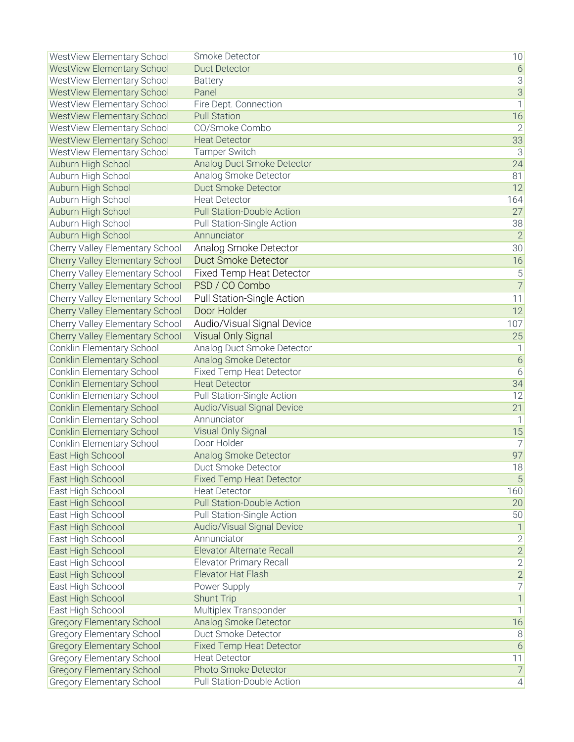| <b>WestView Elementary School</b>      | Smoke Detector                    | 10               |
|----------------------------------------|-----------------------------------|------------------|
| WestView Elementary School             | <b>Duct Detector</b>              | $\sqrt{6}$       |
| WestView Elementary School             | <b>Battery</b>                    | $\overline{3}$   |
| WestView Elementary School             | Panel                             | $\overline{3}$   |
| WestView Elementary School             | Fire Dept. Connection             | $\mathbf{1}$     |
| <b>WestView Elementary School</b>      | <b>Pull Station</b>               | 16               |
| WestView Elementary School             | CO/Smoke Combo                    | $\overline{2}$   |
| WestView Elementary School             | <b>Heat Detector</b>              | 33               |
| WestView Elementary School             | <b>Tamper Switch</b>              | $\overline{3}$   |
| Auburn High School                     | Analog Duct Smoke Detector        | 24               |
| Auburn High School                     | Analog Smoke Detector             | 81               |
|                                        | <b>Duct Smoke Detector</b>        | 12               |
| Auburn High School                     | <b>Heat Detector</b>              |                  |
| Auburn High School                     |                                   | 164              |
| Auburn High School                     | <b>Pull Station-Double Action</b> | 27               |
| Auburn High School                     | Pull Station-Single Action        | 38               |
| Auburn High School                     | Annunciator                       | $\overline{2}$   |
| Cherry Valley Elementary School        | Analog Smoke Detector             | 30               |
| <b>Cherry Valley Elementary School</b> | <b>Duct Smoke Detector</b>        | 16               |
| Cherry Valley Elementary School        | <b>Fixed Temp Heat Detector</b>   | 5                |
| <b>Cherry Valley Elementary School</b> | PSD / CO Combo                    | $\overline{7}$   |
| Cherry Valley Elementary School        | Pull Station-Single Action        | 11               |
| <b>Cherry Valley Elementary School</b> | Door Holder                       | 12               |
| Cherry Valley Elementary School        | Audio/Visual Signal Device        | 107              |
| Cherry Valley Elementary School        | Visual Only Signal                | 25               |
| Conklin Elementary School              | Analog Duct Smoke Detector        | 1                |
| <b>Conklin Elementary School</b>       | Analog Smoke Detector             | $\overline{6}$   |
| Conklin Elementary School              | <b>Fixed Temp Heat Detector</b>   | 6                |
| <b>Conklin Elementary School</b>       | <b>Heat Detector</b>              | 34               |
| Conklin Elementary School              | Pull Station-Single Action        | 12               |
| <b>Conklin Elementary School</b>       | Audio/Visual Signal Device        | 21               |
| <b>Conklin Elementary School</b>       | Annunciator                       | 1                |
| <b>Conklin Elementary School</b>       | <b>Visual Only Signal</b>         | 15               |
| Conklin Elementary School              | Door Holder                       | $\overline{7}$   |
| East High Schoool                      | Analog Smoke Detector             | 97               |
|                                        | Duct Smoke Detector               |                  |
| East High Schoool                      |                                   | 18               |
| East High Schoool                      | <b>Fixed Temp Heat Detector</b>   | 5                |
| East High Schoool                      | <b>Heat Detector</b>              | 160              |
| East High Schoool                      | <b>Pull Station-Double Action</b> | 20               |
| East High Schoool                      | Pull Station-Single Action        | 50               |
| East High Schoool                      | Audio/Visual Signal Device        |                  |
| East High Schoool                      | Annunciator                       | $\mathbf{2}$     |
| East High Schoool                      | <b>Elevator Alternate Recall</b>  | $\overline{2}$   |
| East High Schoool                      | <b>Elevator Primary Recall</b>    | $\overline{2}$   |
| East High Schoool                      | Elevator Hat Flash                | $\overline{2}$   |
| East High Schoool                      | Power Supply                      | $\overline{7}$   |
| East High Schoool                      | <b>Shunt Trip</b>                 | $\mathbf{1}$     |
| East High Schoool                      | Multiplex Transponder             | $\mathbf{1}$     |
| <b>Gregory Elementary School</b>       | Analog Smoke Detector             | 16               |
| <b>Gregory Elementary School</b>       | Duct Smoke Detector               | 8                |
| <b>Gregory Elementary School</b>       | <b>Fixed Temp Heat Detector</b>   | $\overline{6}$   |
| <b>Gregory Elementary School</b>       | <b>Heat Detector</b>              | 11               |
| <b>Gregory Elementary School</b>       | Photo Smoke Detector              | $\overline{7}$   |
| <b>Gregory Elementary School</b>       | Pull Station-Double Action        | $\left 4\right $ |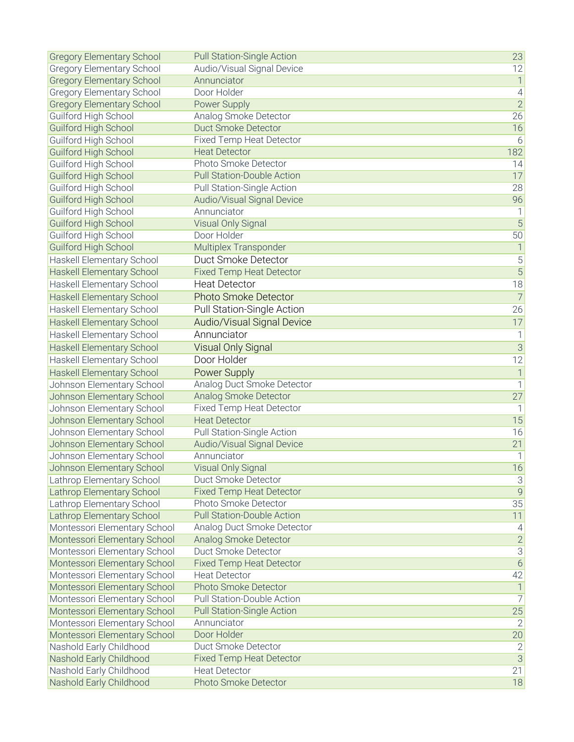| <b>Gregory Elementary School</b>                   | <b>Pull Station-Single Action</b>                       | 23                               |
|----------------------------------------------------|---------------------------------------------------------|----------------------------------|
| <b>Gregory Elementary School</b>                   | Audio/Visual Signal Device                              | 12                               |
| <b>Gregory Elementary School</b>                   | Annunciator                                             | $\overline{1}$                   |
| <b>Gregory Elementary School</b>                   | Door Holder                                             | $\overline{4}$                   |
| <b>Gregory Elementary School</b>                   | Power Supply                                            | $\overline{2}$                   |
| Guilford High School                               | Analog Smoke Detector                                   | 26                               |
| Guilford High School                               | <b>Duct Smoke Detector</b>                              | 16                               |
| Guilford High School                               | <b>Fixed Temp Heat Detector</b>                         | 6                                |
| Guilford High School                               | <b>Heat Detector</b>                                    | 182                              |
| Guilford High School                               | Photo Smoke Detector                                    | 14                               |
| Guilford High School                               | <b>Pull Station-Double Action</b>                       | 17                               |
| Guilford High School                               | Pull Station-Single Action                              | 28                               |
| Guilford High School                               | <b>Audio/Visual Signal Device</b>                       | 96                               |
| Guilford High School                               | Annunciator                                             | 1                                |
| <b>Guilford High School</b>                        | Visual Only Signal                                      | $\overline{5}$                   |
| Guilford High School                               | Door Holder                                             | 50                               |
| Guilford High School                               | Multiplex Transponder                                   | $\mathbf{1}$                     |
| Haskell Elementary School                          | Duct Smoke Detector                                     | 5                                |
| <b>Haskell Elementary School</b>                   | <b>Fixed Temp Heat Detector</b>                         | $\overline{5}$                   |
| Haskell Elementary School                          | <b>Heat Detector</b>                                    | 18                               |
| <b>Haskell Elementary School</b>                   | <b>Photo Smoke Detector</b>                             | $\overline{7}$                   |
| Haskell Elementary School                          | Pull Station-Single Action                              | 26                               |
| <b>Haskell Elementary School</b>                   | <b>Audio/Visual Signal Device</b>                       | 17                               |
| <b>Haskell Elementary School</b>                   | Annunciator                                             | $\mathbf{1}$                     |
|                                                    | <b>Visual Only Signal</b>                               | $\overline{3}$                   |
| <b>Haskell Elementary School</b>                   | Door Holder                                             |                                  |
| Haskell Elementary School                          |                                                         | 12                               |
| <b>Haskell Elementary School</b>                   | Power Supply                                            | $\overline{1}$<br>$\overline{1}$ |
| Johnson Elementary School                          | Analog Duct Smoke Detector                              |                                  |
| Johnson Elementary School                          | Analog Smoke Detector                                   | 27                               |
| Johnson Elementary School                          | Fixed Temp Heat Detector<br><b>Heat Detector</b>        | 1<br>15                          |
| Johnson Elementary School                          |                                                         |                                  |
| Johnson Elementary School                          | Pull Station-Single Action                              | 16                               |
| Johnson Elementary School                          | Audio/Visual Signal Device<br>Annunciator               | 21                               |
| Johnson Elementary School                          |                                                         | 1                                |
| Johnson Elementary School                          | Visual Only Signal                                      | 16                               |
| Lathrop Elementary School                          | Duct Smoke Detector                                     | $\mathcal{S}$                    |
| Lathrop Elementary School                          | <b>Fixed Temp Heat Detector</b>                         | $\overline{9}$                   |
| Lathrop Elementary School                          | Photo Smoke Detector                                    | 35                               |
| Lathrop Elementary School                          | <b>Pull Station-Double Action</b>                       | 11                               |
| Montessori Elementary School                       | Analog Duct Smoke Detector                              | 4                                |
| Montessori Elementary School                       | Analog Smoke Detector<br>Duct Smoke Detector            | $\mathbf{2}$<br>$\overline{3}$   |
| Montessori Elementary School                       |                                                         | $\overline{6}$                   |
| Montessori Elementary School                       | <b>Fixed Temp Heat Detector</b><br><b>Heat Detector</b> |                                  |
| Montessori Elementary School                       | <b>Photo Smoke Detector</b>                             | 42                               |
| Montessori Elementary School                       |                                                         | $\mathbf{1}$                     |
| Montessori Elementary School                       | Pull Station-Double Action                              | $\overline{7}$                   |
| Montessori Elementary School                       | <b>Pull Station-Single Action</b>                       | 25                               |
| Montessori Elementary School                       | Annunciator<br>Door Holder                              | $\overline{2}$                   |
| Montessori Elementary School                       | Duct Smoke Detector                                     | 20                               |
| Nashold Early Childhood<br>Nashold Early Childhood | <b>Fixed Temp Heat Detector</b>                         | $\mathbf{2}$<br>$\overline{3}$   |
| Nashold Early Childhood                            | <b>Heat Detector</b>                                    | 21                               |
| Nashold Early Childhood                            | Photo Smoke Detector                                    | 18                               |
|                                                    |                                                         |                                  |